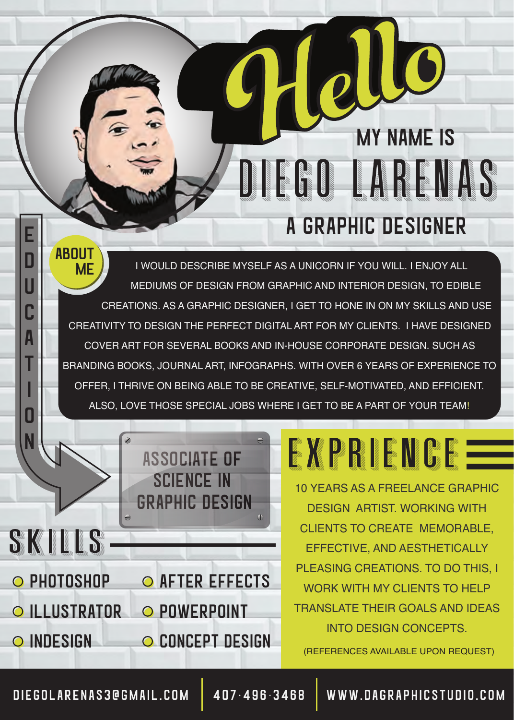## do My name is IEGO LARENAS A GRAPHIC DESIGNER

MF I WOULD DESCRIBE MYSELF AS A UNICORN IF YOU WILL. I ENJOY ALL MEDIUMS OF DESIGN FROM GRAPHIC AND INTERIOR DESIGN, TO EDIBLE CREATIONS. AS A GRAPHIC DESIGNER, I GET TO HONE IN ON MY SKILLS AND USE CREATIVITY TO DESIGN THE PERFECT DIGITAL ART FOR MY CLIENTS. I HAVE DESIGNED COVER ART FOR SEVERAL BOOKS AND IN-HOUSE CORPORATE DESIGN. SUCH AS BRANDING BOOKS, JOURNAL ART, INFOGRAPHS. WITH OVER 6 YEARS OF EXPERIENCE TO OFFER, I THRIVE ON BEING ABLE TO BE CREATIVE, SELF-MOTIVATED, AND EFFICIENT. ALSO, LOVE THOSE SPECIAL JOBS WHERE I GET TO BE A PART OF YOUR TEAM!



## EXPRIENCE

10 YEARS AS A FREELANCE GRAPHIC DESIGN ARTIST. WORKING WITH CLIENTS TO CREATE MEMORABLE, EFFECTIVE, AND AESTHETICALLY PLEASING CREATIONS. TO DO THIS, I WORK WITH MY CLIENTS TO HELP TRANSLATE THEIR GOALS AND IDEAS INTO DESIGN CONCEPTS.

(REFERENCES AVAILABLE UPON REQUEST)

**ABOUT** 

E D Ū Ċ A ī